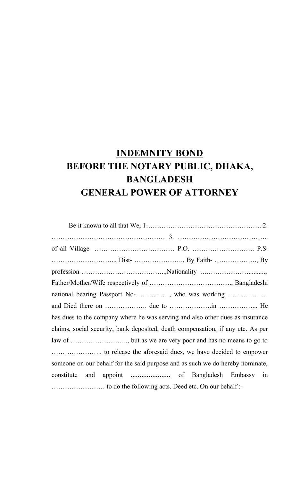## **INDEMNITY BOND BEFORE THE NOTARY PUBLIC, DHAKA, BANGLADESH GENERAL POWER OF ATTORNEY**

| national bearing Passport No-, who was working                                  |  |  |  |
|---------------------------------------------------------------------------------|--|--|--|
|                                                                                 |  |  |  |
| has dues to the company where he was serving and also other dues as insurance   |  |  |  |
| claims, social security, bank deposited, death compensation, if any etc. As per |  |  |  |
|                                                                                 |  |  |  |
|                                                                                 |  |  |  |
| someone on our behalf for the said purpose and as such we do hereby nominate,   |  |  |  |
| constitute<br>and                                                               |  |  |  |
|                                                                                 |  |  |  |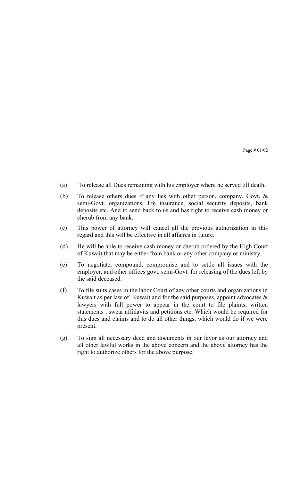Page # 01/02

- (a) To release all Dues remaining with his employer where he served till death.
- (b) To release others dues if any lies with other person, company, Govt. & semi-Govt. organizations, life insurance, social security deposits, bank deposits etc. And to send back to us and has right to receive cash money or cherub from any bank.
- (c) This power of attorney will cancel all the previous authorization in this regard and this will be effective in all affaires in future.
- (d) He will be able to receive cash money or cherub ordered by the High Court of Kuwait that may be either from bank or any other company or ministry.
- (e) To negotiate, compound, compromise and to settle all issues with the employer, and other offices govt. semi-Govt. for releasing of the dues left by the said deceased.
- (f) To file suits cases in the labor Court of any other courts and organizations in Kuwait as per law of Kuwait and for the said purposes, appoint advocates  $\&$ lawyers with full power to appear in the court to file plaints, written statements , swear affidavits and petitions etc. Which would be required for this dues and claims and to do all other things, which would do if we were present.
- (g) To sign all necessary deed and documents in our favor as our attorney and all other lawful works in the above concern and the above attorney has the right to authorize others for the above purpose.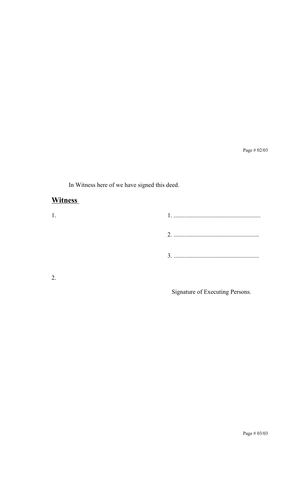Page # 02/03

In Witness here of we have signed this deed.

#### **Witness**

| ി |  |
|---|--|

Signature of Executing Persons.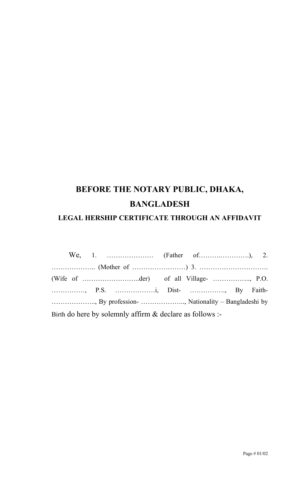# **BEFORE THE NOTARY PUBLIC, DHAKA, BANGLADESH**

#### **LEGAL HERSHIP CERTIFICATE THROUGH AN AFFIDAVIT**

|  | (Wife of $\dots\dots\dots\dots\dots\dots\dots\dots$ ) of all Village- $\dots\dots\dots\dots\dots\dots$ , P.O. |  |  |
|--|---------------------------------------------------------------------------------------------------------------|--|--|
|  |                                                                                                               |  |  |
|  |                                                                                                               |  |  |
|  | Birth do here by solemnly affirm $\&$ declare as follows :-                                                   |  |  |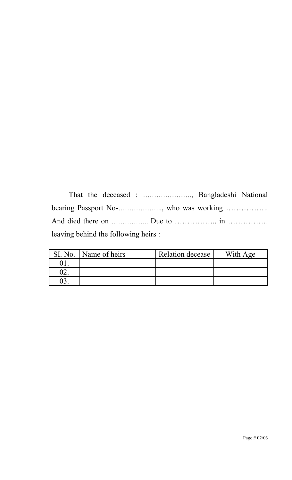That the deceased : …………………., Bangladeshi National bearing Passport No-……………….., who was working …………….. And died there on …………….. Due to …………….. in ……………. leaving behind the following heirs :

| SI. No. | Name of heirs | Relation decease | With Age |
|---------|---------------|------------------|----------|
|         |               |                  |          |
| າາ      |               |                  |          |
|         |               |                  |          |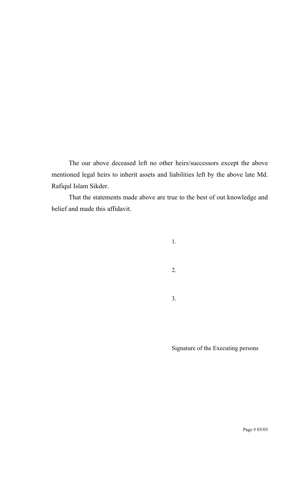The our above deceased left no other heirs/successors except the above mentioned legal heirs to inherit assets and liabilities left by the above late Md. Rafiqul Islam Sikder.

That the statements made above are true to the best of out knowledge and belief and made this affidavit.

- 1.
- 2.
- 3.

Signature of the Executing persons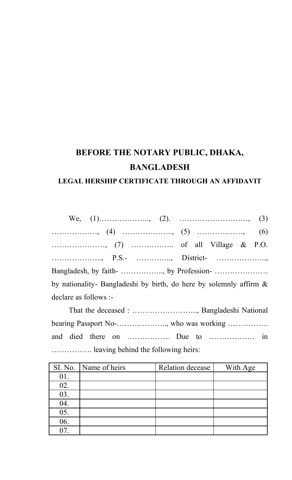### **BEFORE THE NOTARY PUBLIC, DHAKA, BANGLADESH LEGAL HERSHIP CERTIFICATE THROUGH AN AFFIDAVIT**

# We, (1)……………….., (2). ………………………, (3) ………………, (4) ……………….., (5) ………………, (6) …………………, (7) …………….. of all Village & P.O. ……………….., P.S.- ………….., District- ……………….., Bangladesh, by faith- …………….., by Profession- ………………… by nationality- Bangladeshi by birth, do here by solemnly affirm & declare as follows :-

That the deceased : …………………….., Bangladeshi National bearing Passport No-……………….., who was working ……………. and died there on …………….. Due to ……………… in ……………. leaving behind the following heirs:

|     | SI. No.   Name of heirs | Relation decease | With Age |
|-----|-------------------------|------------------|----------|
| 01. |                         |                  |          |
| 02. |                         |                  |          |
| 03. |                         |                  |          |
| 04. |                         |                  |          |
| 05. |                         |                  |          |
| 06. |                         |                  |          |
| 07  |                         |                  |          |